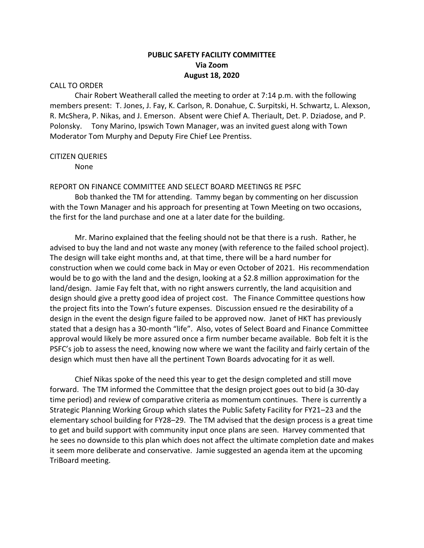# **PUBLIC SAFETY FACILITY COMMITTEE Via Zoom August 18, 2020**

### CALL TO ORDER

Chair Robert Weatherall called the meeting to order at 7:14 p.m. with the following members present: T. Jones, J. Fay, K. Carlson, R. Donahue, C. Surpitski, H. Schwartz, L. Alexson, R. McShera, P. Nikas, and J. Emerson. Absent were Chief A. Theriault, Det. P. Dziadose, and P. Polonsky. Tony Marino, Ipswich Town Manager, was an invited guest along with Town Moderator Tom Murphy and Deputy Fire Chief Lee Prentiss.

### CITIZEN QUERIES

None

### REPORT ON FINANCE COMMITTEE AND SELECT BOARD MEETINGS RE PSFC

Bob thanked the TM for attending. Tammy began by commenting on her discussion with the Town Manager and his approach for presenting at Town Meeting on two occasions, the first for the land purchase and one at a later date for the building.

Mr. Marino explained that the feeling should not be that there is a rush. Rather, he advised to buy the land and not waste any money (with reference to the failed school project). The design will take eight months and, at that time, there will be a hard number for construction when we could come back in May or even October of 2021. His recommendation would be to go with the land and the design, looking at a \$2.8 million approximation for the land/design. Jamie Fay felt that, with no right answers currently, the land acquisition and design should give a pretty good idea of project cost. The Finance Committee questions how the project fits into the Town's future expenses. Discussion ensued re the desirability of a design in the event the design figure failed to be approved now. Janet of HKT has previously stated that a design has a 30-month "life". Also, votes of Select Board and Finance Committee approval would likely be more assured once a firm number became available. Bob felt it is the PSFC's job to assess the need, knowing now where we want the facility and fairly certain of the design which must then have all the pertinent Town Boards advocating for it as well.

Chief Nikas spoke of the need this year to get the design completed and still move forward. The TM informed the Committee that the design project goes out to bid (a 30-day time period) and review of comparative criteria as momentum continues. There is currently a Strategic Planning Working Group which slates the Public Safety Facility for FY21–23 and the elementary school building for FY28–29. The TM advised that the design process is a great time to get and build support with community input once plans are seen. Harvey commented that he sees no downside to this plan which does not affect the ultimate completion date and makes it seem more deliberate and conservative. Jamie suggested an agenda item at the upcoming TriBoard meeting.